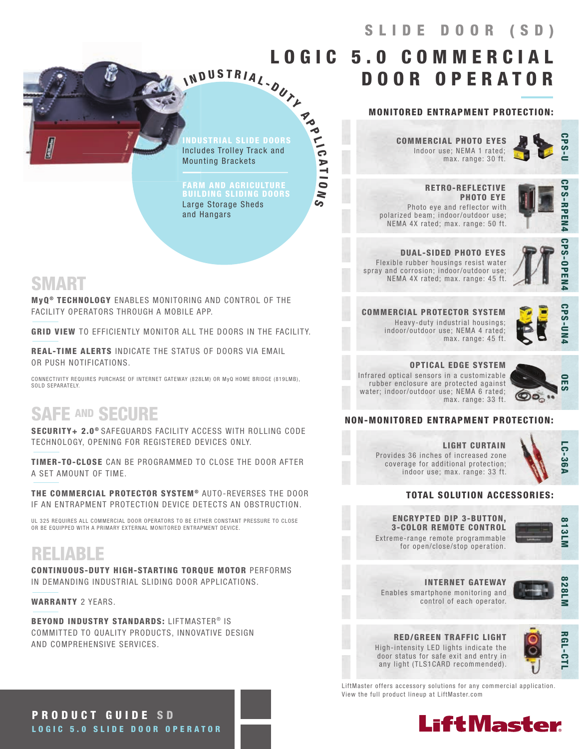INDUSTRIAL SLIDE DOORS Includes Trolley Track and Mounting Brackets

N D U S T R I A L - OUT Y

**Po** 

 $\frac{1}{10}$ 

A T I O

N S

I

FARM AND AGRICULTURE Large Storage Sheds and Hangars

Indoor use; NEMA 1 rated; COMMERCIAL PHOTO EYES

max. range: 30 ft.

MONITORED ENTRAPMENT PROTECTION:

DOOR OPERATOR



 RETRO-REFLECTIVE PHOTO EYE Photo eye and reflector with polarized beam; indoor/outdoor use; NEMA 4X rated; max. range: 50 ft.



DUAL-SIDED PHOTO EYES Flexible rubber housings resist water spray and corrosion; indoor/outdoor use; NEMA 4X rated; max. range: 45 ft.



COMMERCIAL PROTECTOR SYSTEM Heavy-duty industrial housings; indoor/outdoor use; NEMA 4 rated; max. range: 45 ft.

**CPS-UN** 

OPTICAL EDGE SYSTEM Infrared optical sensors in a customizable rubber enclosure are protected against water; indoor/outdoor use; NEMA 6 rated; max. range: 33 ft.



### NON-MONITORED ENTRAPMENT PROTECTION:

LIGHT CURTAIN Provides 36 inches of increased zone coverage for additional protection; indoor use; max. range: 33 ft.



### TOTAL SOLUTION ACCESSORIES:

ENCRYPTED DIP 3-BUTTON, 3-COLOR REMOTE CONTROL

INTERNET GATEWAY



for open/close/stop operation.

Extreme-range remote programmable



Enables smartphone monitoring and control of each operator.



RED/GREEN TRAFFIC LIGHT High-intensity LED lights indicate the door status for safe exit and entry in any light (TLS1CARD recommended).



LiftMaster offers accessory solutions for any commercial application. View the full product lineup at LiftMaster.com



# SMART

MyQ<sup>®</sup> TECHNOLOGY ENABLES MONITORING AND CONTROL OF THE FACILITY OPERATORS THROUGH A MOBILE APP.

GRID VIEW TO EFFICIENTLY MONITOR ALL THE DOORS IN THE FACILITY.

REAL-TIME ALERTS INDICATE THE STATUS OF DOORS VIA EMAIL OR PUSH NOTIFICATIONS.

CONNECTIVITY REQUIRES PURCHASE OF INTERNET GATEWAY (828LM) OR MyQ HOME BRIDGE (819LMB), SOLD SEPARATELY.

# SAFE AND SECURE

SECURITY+ 2.0<sup>®</sup> SAFEGUARDS FACILITY ACCESS WITH ROLLING CODE TECHNOLOGY, OPENING FOR REGISTERED DEVICES ONLY.

TIMER-TO-CLOSE CAN BE PROGRAMMED TO CLOSE THE DOOR AFTER A SET AMOUNT OF TIME.

THE COMMERCIAL PROTECTOR SYSTEM® AUTO-REVERSES THE DOOR IF AN ENTRAPMENT PROTECTION DEVICE DETECTS AN OBSTRUCTION.

UL 325 REQUIRES ALL COMMERCIAL DOOR OPERATORS TO BE EITHER CONSTANT PRESSURE TO CLOSE<br>OR BE EQUIPPED WITH A PRIMARY EXTERNAL MONITORED ENTRAPMENT DEVICE.

# RELIABLE

CONTINUOUS-DUTY HIGH-STARTING TORQUE MOTOR PERFORMS IN DEMANDING INDUSTRIAL SLIDING DOOR APPLICATIONS.

WARRANTY 2 YEARS.

BEYOND INDUSTRY STANDARDS: LIFTMASTER® IS COMMITTED TO QUALITY PRODUCTS, INNOVATIVE DESIGN AND COMPREHENSIVE SERVICES.

PRODUCT GUIDE S D LOGIC 5.0 SLIDE DOOR OPERATOR